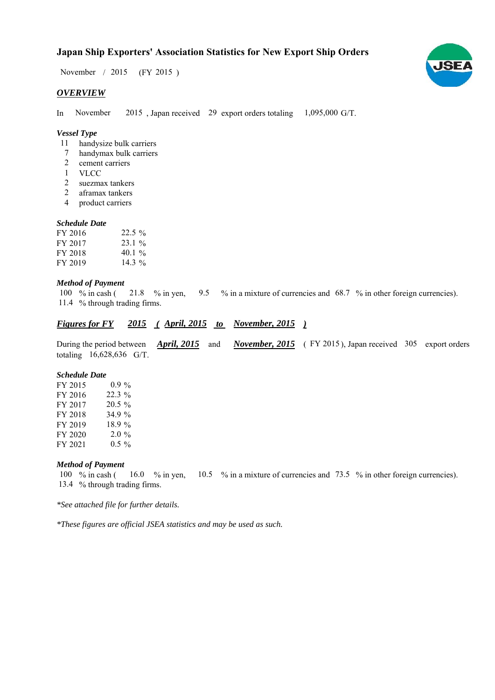# **Japan Ship Exporters' Association Statistics for New Export Ship Orders**

November / 2015 (FY 2015)

## *OVERVIEW*

In November 2015, Japan received 29 export orders totaling  $1,095,000$  G/T. November

## *Vessel Type*

- handysize bulk carriers 11
- handymax bulk carriers 7
- cement carriers 2
- VLCC 1
- suezmax tankers 2
- aframax tankers 2
- product carriers 4

#### *Schedule Date*

| FY 2016 | $22.5\%$  |
|---------|-----------|
| FY 2017 | $23.1\%$  |
| FY 2018 | 40.1 $\%$ |
| FY 2019 | $14.3\%$  |

## *Method of Payment*

% in cash ( $\frac{21.8}{8}$  % in yen,  $\frac{9.5}{8}$  % in a mixture of currencies and 68.7 % in other foreign currencies). % through trading firms. 11.4 100  $\%$  in cash ( 21.8 % in yen,

# *<u>Figures for FY* 2015 (April, 2015 to November, 2015)</u>

During the period between *April, 2015* and *November, 2015* (FY 2015), Japan received 305 export orders totaling  $16,628,636$  G/T. *April, 2015*

#### *Schedule Date*

| FY 2015 | $0.9\%$  |
|---------|----------|
| FY 2016 | $22.3\%$ |
| FY 2017 | $20.5\%$ |
| FY 2018 | 34.9%    |
| FY 2019 | 18.9%    |
| FY 2020 | $2.0\%$  |
| FY 2021 | $0.5 \%$ |

## *Method of Payment*

% in cash ( $\frac{16.0}{8}$  in yen,  $\frac{10.5}{8}$  % in a mixture of currencies and 73.5 % in other foreign currencies). 13.4 % through trading firms. 100  $%$  in cash ( 16.0  $\%$  in yen,

*\*See attached file for further details.*

*\*These figures are official JSEA statistics and may be used as such.*

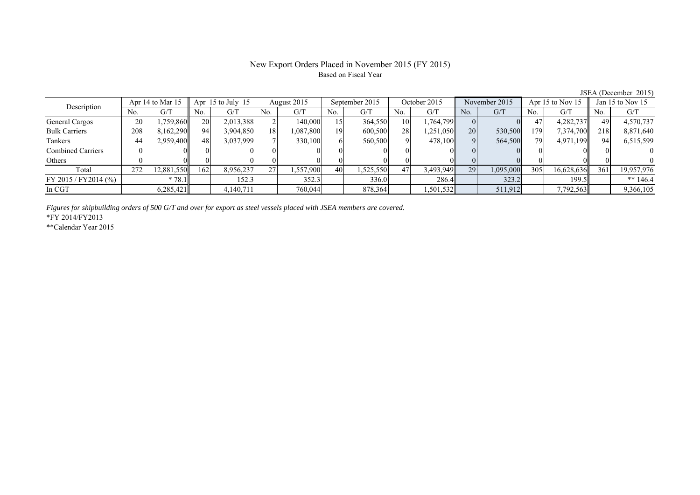## New Export Orders Placed in November 2015 (FY 2015) Based on Fiscal Year

JSEA (December 2015)

| Description              |     | Apr 14 to Mar 15 |           | Apr $15$ to July $15$ |     | August 2015 |      | September 2015 |     | October 2015 |           | November 2015 |      | Apr 15 to Nov 15 |     | Jan 15 to Nov 15 |  |
|--------------------------|-----|------------------|-----------|-----------------------|-----|-------------|------|----------------|-----|--------------|-----------|---------------|------|------------------|-----|------------------|--|
|                          | No. | G/T              | No.       | G/T                   | No. | G/T         | No.  | G/T            | No. | G/T          | No.       | G/T           | No.  | G/T              | No. | G/T              |  |
| General Cargos           | 20  | ,759,860         | <b>20</b> | 2,013,388             |     | 140,000     | 15 I | 364,550        | 10  | 1,764,799    |           |               | 47   | 4,282,737        | 49  | 4,570,737        |  |
| <b>Bulk Carriers</b>     | 208 | 8,162,290        | 94        | 3,904,850             | 18  | 1,087,800   | 19   | 600,500        | 28  | 1,251,050    | <b>20</b> | 530,500       | 1791 | 7,374,700        | 218 | 8,871,640        |  |
| Tankers                  | 44  | 2,959,400        | 48        | 3,037,999             |     | 330,100     | 61   | 560,500        |     | 478,100      |           | 564,500       | 79   | 4,971,199        | 941 | 6,515,599        |  |
| <b>Combined Carriers</b> |     |                  |           |                       |     |             |      |                |     |              |           |               |      |                  |     |                  |  |
| Others                   |     |                  |           |                       |     |             |      |                |     |              |           |               |      |                  |     |                  |  |
| Total                    | 272 | 12,881,550       | 162       | 8,956,237             | 27  | .557,900    | 40   | .525.550       | 47  | 3,493,949    | 29        | 1,095,000     | 305  | 16,628,636       | 361 | 19,957,976       |  |
| FY 2015 / FY 2014 (%)    |     | $*78.1$          |           | 152.3                 |     | 352.3       |      | 336.0          |     | 286.4        |           | 323.2         |      | 199.5            |     | ** $146.4$       |  |
| In CGT                   |     | 6,285,421        |           | 4,140,711             |     | 760,044     |      | 878,364        |     | 1,501,532    |           | 511,912       |      | 7,792,563        |     | 9,366,105        |  |

*Figures for shipbuilding orders of 500 G/T and over for export as steel vessels placed with JSEA members are covered.*

\*FY 2014/FY2013

\*\*Calendar Year 2015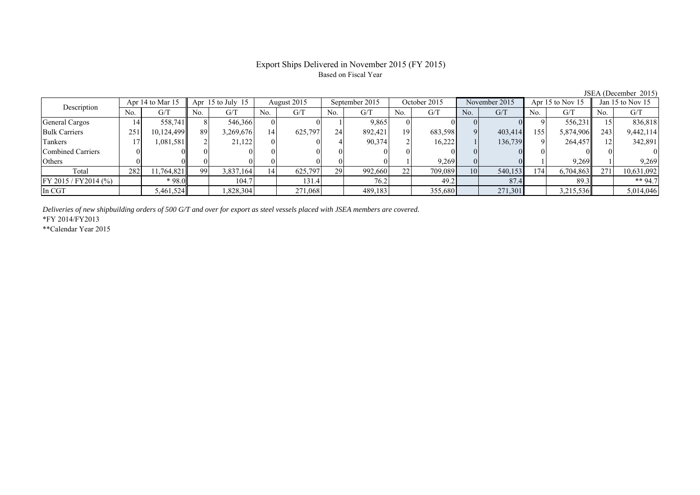# Export Ships Delivered in November 2015 (FY 2015) Based on Fiscal Year

| .                     |     |                  |                       |           |             |         |                |         |              |         |               |         |                      |           |                      |            |
|-----------------------|-----|------------------|-----------------------|-----------|-------------|---------|----------------|---------|--------------|---------|---------------|---------|----------------------|-----------|----------------------|------------|
| Description           |     | Apr 14 to Mar 15 | Apr $15$ to July $15$ |           | August 2015 |         | September 2015 |         | October 2015 |         | November 2015 |         | Apr $15$ to Nov $15$ |           | Jan $15$ to Nov $15$ |            |
|                       | No. | G/T              | No.                   | G/T       | No.         | G/T     | No.            | G/T     | No.          | G/T     | No.           | G/T     | No.                  | G/T       | No.                  | G/T        |
| General Cargos        | 14  | 558,741          |                       | 546,366   |             |         |                | 9,865   |              |         |               |         |                      | 556,231   |                      | 836,818    |
| <b>Bulk Carriers</b>  | 251 | 10,124,499       | 89                    | 3,269,676 | 14          | 625,797 | 24             | 892.421 | 19           | 683,598 |               | 403,414 | 155                  | 5,874,906 | 243                  | 9,442,114  |
| Tankers               |     | 1.081.5811       |                       | 21,122    |             |         |                | 90,374  |              | 16,222  |               | 136,739 |                      | 264,457   |                      | 342,891    |
| Combined Carriers     |     |                  |                       |           |             |         |                |         |              |         |               |         | $\Omega$             |           |                      |            |
| Others                |     |                  |                       |           |             |         |                |         |              | 9.269   |               |         |                      | 9.269     |                      | 9.269      |
| Total                 | 282 | 11,764,821       | 99                    | 3,837,164 | 14          | 625,797 | 29             | 992,660 | 22           | 709,089 | 10            | 540,153 | 174                  | 6,704,863 | 271                  | 10,631,092 |
| FY 2015 / FY 2014 (%) |     | $*98.0$          |                       | 104.7     |             | 131.4   |                | 76.2    |              | 49.2    |               | 87.4    |                      | 89.3      |                      | ** 94.7    |
| In CGT                |     | 5,461,524        |                       | ,828,304  |             | 271,068 |                | 489,183 |              | 355,680 |               | 271,301 |                      | 3,215,536 |                      | 5,014,046  |

*Deliveries of new shipbuilding orders of 500 G/T and over for export as steel vessels placed with JSEA members are covered.*

\*FY 2014/FY2013

\*\*Calendar Year 2015

JSEA (December 2015)